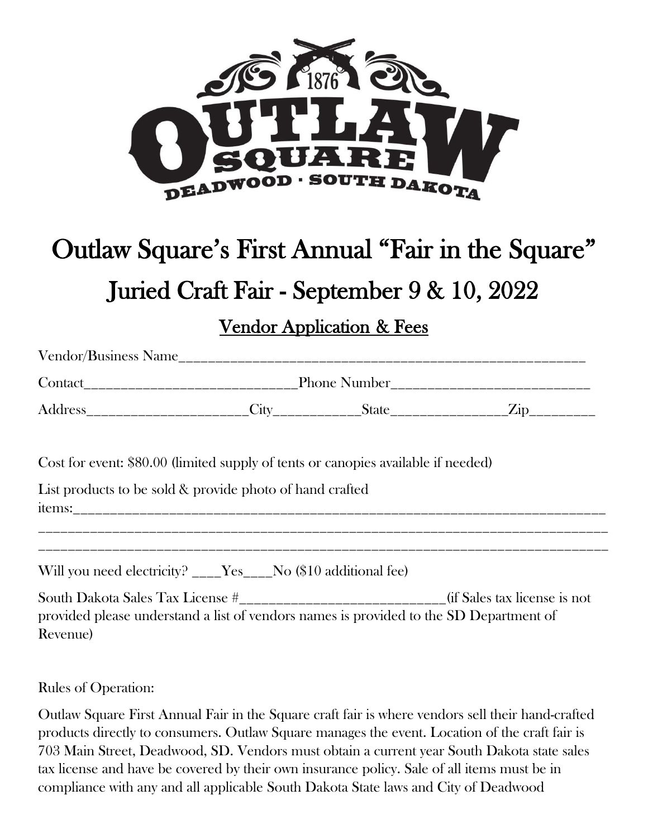

## Outlaw Square's First Annual "Fair in the Square" Juried Craft Fair - September 9 & 10, 2022

Vendor Application & Fees

Vendor/Business Name\_\_\_\_\_\_\_\_\_\_\_\_\_\_\_\_\_\_\_\_\_\_\_\_\_\_\_\_\_\_\_\_\_\_\_\_\_\_\_\_\_\_\_\_\_\_\_\_\_\_\_\_\_\_\_ Contact\_\_\_\_\_\_\_\_\_\_\_\_\_\_\_\_\_\_\_\_\_\_\_\_\_\_\_\_\_Phone Number\_\_\_\_\_\_\_\_\_\_\_\_\_\_\_\_\_\_\_\_\_\_\_\_\_\_\_ Address\_\_\_\_\_\_\_\_\_\_\_\_\_\_\_\_\_\_\_\_\_\_City\_\_\_\_\_\_\_\_\_\_\_\_State\_\_\_\_\_\_\_\_\_\_\_\_\_\_\_\_Zip\_\_\_\_\_\_\_\_\_

Cost for event: \$80.00 (limited supply of tents or canopies available if needed)

| List products to be sold & provide photo of hand crafted |
|----------------------------------------------------------|
| tems:                                                    |
|                                                          |

\_\_\_\_\_\_\_\_\_\_\_\_\_\_\_\_\_\_\_\_\_\_\_\_\_\_\_\_\_\_\_\_\_\_\_\_\_\_\_\_\_\_\_\_\_\_\_\_\_\_\_\_\_\_\_\_\_\_\_\_\_\_\_\_\_\_\_\_\_\_\_\_\_\_\_\_\_

Will you need electricity? \_\_\_\_Yes \_\_\_No (\$10 additional fee)

| South Dakota Sales Tax License #                                                       | (if Sales tax license is not |
|----------------------------------------------------------------------------------------|------------------------------|
| provided please understand a list of vendors names is provided to the SD Department of |                              |
| Revenue)                                                                               |                              |

Rules of Operation:

Outlaw Square First Annual Fair in the Square craft fair is where vendors sell their hand-crafted products directly to consumers. Outlaw Square manages the event. Location of the craft fair is 703 Main Street, Deadwood, SD. Vendors must obtain a current year South Dakota state sales tax license and have be covered by their own insurance policy. Sale of all items must be in compliance with any and all applicable South Dakota State laws and City of Deadwood